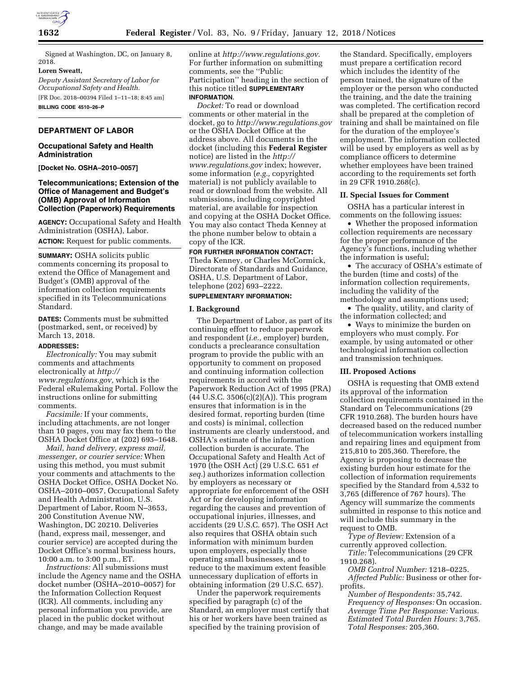

Signed at Washington, DC, on January 8, 2018.

#### **Loren Sweatt,**

*Deputy Assistant Secretary of Labor for Occupational Safety and Health.*  [FR Doc. 2018–00394 Filed 1–11–18; 8:45 am]

**BILLING CODE 4510–26–P** 

### **DEPARTMENT OF LABOR**

## **Occupational Safety and Health Administration**

**[Docket No. OSHA–2010–0057]** 

# **Telecommunications; Extension of the Office of Management and Budget's (OMB) Approval of Information Collection (Paperwork) Requirements**

**AGENCY:** Occupational Safety and Health Administration (OSHA), Labor. **ACTION:** Request for public comments.

**SUMMARY:** OSHA solicits public comments concerning its proposal to extend the Office of Management and Budget's (OMB) approval of the information collection requirements specified in its Telecommunications Standard.

**DATES:** Comments must be submitted (postmarked, sent, or received) by March 13, 2018.

#### **ADDRESSES:**

*Electronically:* You may submit comments and attachments electronically at *[http://](http://www.regulations.gov) [www.regulations.gov,](http://www.regulations.gov)* which is the Federal eRulemaking Portal. Follow the instructions online for submitting comments.

*Facsimile:* If your comments, including attachments, are not longer than 10 pages, you may fax them to the OSHA Docket Office at (202) 693–1648.

*Mail, hand delivery, express mail, messenger, or courier service:* When using this method, you must submit your comments and attachments to the OSHA Docket Office, OSHA Docket No. OSHA–2010–0057, Occupational Safety and Health Administration, U.S. Department of Labor, Room N–3653, 200 Constitution Avenue NW, Washington, DC 20210. Deliveries (hand, express mail, messenger, and courier service) are accepted during the Docket Office's normal business hours, 10:00 a.m. to 3:00 p.m., ET.

*Instructions:* All submissions must include the Agency name and the OSHA docket number (OSHA–2010–0057) for the Information Collection Request (ICR). All comments, including any personal information you provide, are placed in the public docket without change, and may be made available

online at *[http://www.regulations.gov.](http://www.regulations.gov)*  For further information on submitting comments, see the ''Public Participation'' heading in the section of this notice titled **SUPPLEMENTARY INFORMATION**.

*Docket:* To read or download comments or other material in the docket, go to *<http://www.regulations.gov>*  or the OSHA Docket Office at the address above. All documents in the docket (including this **Federal Register**  notice) are listed in the *[http://](http://www.regulations.gov) [www.regulations.gov](http://www.regulations.gov)* index; however, some information (*e.g.,* copyrighted material) is not publicly available to read or download from the website. All submissions, including copyrighted material, are available for inspection and copying at the OSHA Docket Office. You may also contact Theda Kenney at the phone number below to obtain a copy of the ICR.

# **FOR FURTHER INFORMATION CONTACT:**

Theda Kenney, or Charles McCormick, Directorate of Standards and Guidance, OSHA, U.S. Department of Labor, telephone (202) 693–2222.

# **SUPPLEMENTARY INFORMATION:**

### **I. Background**

The Department of Labor, as part of its continuing effort to reduce paperwork and respondent (*i.e.,* employer) burden, conducts a preclearance consultation program to provide the public with an opportunity to comment on proposed and continuing information collection requirements in accord with the Paperwork Reduction Act of 1995 (PRA) (44 U.S.C. 3506(c)(2)(A)). This program ensures that information is in the desired format, reporting burden (time and costs) is minimal, collection instruments are clearly understood, and OSHA's estimate of the information collection burden is accurate. The Occupational Safety and Health Act of 1970 (the OSH Act) (29 U.S.C. 651 *et seq.*) authorizes information collection by employers as necessary or appropriate for enforcement of the OSH Act or for developing information regarding the causes and prevention of occupational injuries, illnesses, and accidents (29 U.S.C. 657). The OSH Act also requires that OSHA obtain such information with minimum burden upon employers, especially those operating small businesses, and to reduce to the maximum extent feasible unnecessary duplication of efforts in obtaining information (29 U.S.C. 657).

Under the paperwork requirements specified by paragraph (c) of the Standard, an employer must certify that his or her workers have been trained as specified by the training provision of

the Standard. Specifically, employers must prepare a certification record which includes the identity of the person trained, the signature of the employer or the person who conducted the training, and the date the training was completed. The certification record shall be prepared at the completion of training and shall be maintained on file for the duration of the employee's employment. The information collected will be used by employers as well as by compliance officers to determine whether employees have been trained according to the requirements set forth in 29 CFR 1910.268(c).

#### **II. Special Issues for Comment**

OSHA has a particular interest in comments on the following issues:

• Whether the proposed information collection requirements are necessary for the proper performance of the Agency's functions, including whether the information is useful;

• The accuracy of OSHA's estimate of the burden (time and costs) of the information collection requirements, including the validity of the methodology and assumptions used;

• The quality, utility, and clarity of the information collected; and

• Ways to minimize the burden on employers who must comply. For example, by using automated or other technological information collection and transmission techniques.

### **III. Proposed Actions**

OSHA is requesting that OMB extend its approval of the information collection requirements contained in the Standard on Telecommunications (29 CFR 1910.268). The burden hours have decreased based on the reduced number of telecommunication workers installing and repairing lines and equipment from 215,810 to 205,360. Therefore, the Agency is proposing to decrease the existing burden hour estimate for the collection of information requirements specified by the Standard from 4,532 to 3,765 (difference of 767 hours). The Agency will summarize the comments submitted in response to this notice and will include this summary in the request to OMB.

*Type of Review:* Extension of a currently approved collection.

*Title:* Telecommunications (29 CFR 1910.268).

*OMB Control Number:* 1218–0225. *Affected Public:* Business or other forprofits.

*Number of Respondents:* 35,742. *Frequency of Responses:* On occasion. *Average Time Per Response:* Various. *Estimated Total Burden Hours:* 3,765. *Total Responses:* 205,360.